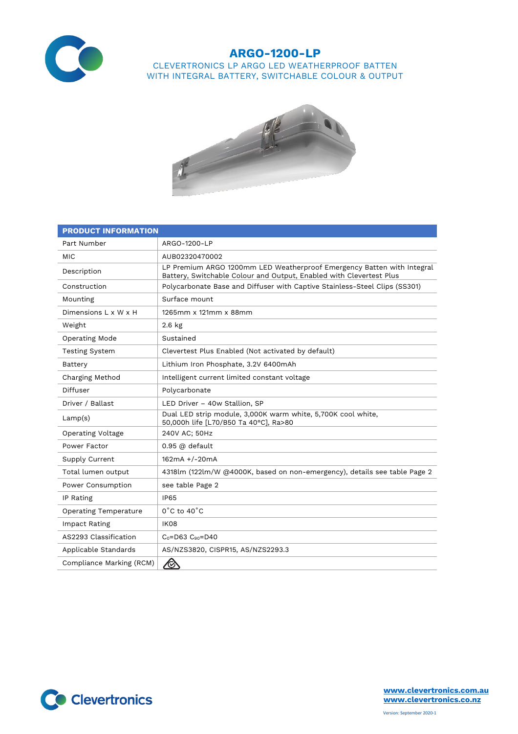

## **ARGO-1200-LP** CLEVERTRONICS LP ARGO LED WEATHERPROOF BATTEN WITH INTEGRAL BATTERY, SWITCHABLE COLOUR & OUTPUT



| <b>PRODUCT INFORMATION</b>   |                                                                                                                                               |  |  |  |
|------------------------------|-----------------------------------------------------------------------------------------------------------------------------------------------|--|--|--|
| Part Number                  | ARGO-1200-LP                                                                                                                                  |  |  |  |
| MIC                          | AUB02320470002                                                                                                                                |  |  |  |
| Description                  | LP Premium ARGO 1200mm LED Weatherproof Emergency Batten with Integral<br>Battery, Switchable Colour and Output, Enabled with Clevertest Plus |  |  |  |
| Construction                 | Polycarbonate Base and Diffuser with Captive Stainless-Steel Clips (SS301)                                                                    |  |  |  |
| Mounting                     | Surface mount                                                                                                                                 |  |  |  |
| Dimensions L x W x H         | 1265mm x 121mm x 88mm                                                                                                                         |  |  |  |
| Weight                       | $2.6$ kg                                                                                                                                      |  |  |  |
| Operating Mode               | Sustained                                                                                                                                     |  |  |  |
| <b>Testing System</b>        | Clevertest Plus Enabled (Not activated by default)                                                                                            |  |  |  |
| Battery                      | Lithium Iron Phosphate, 3.2V 6400mAh                                                                                                          |  |  |  |
| Charging Method              | Intelligent current limited constant voltage                                                                                                  |  |  |  |
| Diffuser                     | Polycarbonate                                                                                                                                 |  |  |  |
| Driver / Ballast             | LED Driver - 40w Stallion, SP                                                                                                                 |  |  |  |
| Lamp(s)                      | Dual LED strip module, 3,000K warm white, 5,700K cool white,<br>50,000h life [L70/B50 Ta 40°C], Ra>80                                         |  |  |  |
| <b>Operating Voltage</b>     | 240V AC; 50Hz                                                                                                                                 |  |  |  |
| Power Factor                 | $0.95$ @ default                                                                                                                              |  |  |  |
| Supply Current               | 162mA +/-20mA                                                                                                                                 |  |  |  |
| Total lumen output           | 4318lm (122lm/W @4000K, based on non-emergency), details see table Page 2                                                                     |  |  |  |
| Power Consumption            | see table Page 2                                                                                                                              |  |  |  |
| IP Rating                    | <b>IP65</b>                                                                                                                                   |  |  |  |
| <b>Operating Temperature</b> | $0^{\circ}$ C to $40^{\circ}$ C                                                                                                               |  |  |  |
| Impact Rating                | IK08                                                                                                                                          |  |  |  |
| AS2293 Classification        | $C_0 = D63$ $C_{90} = D40$                                                                                                                    |  |  |  |
| Applicable Standards         | AS/NZS3820, CISPR15, AS/NZS2293.3                                                                                                             |  |  |  |
| Compliance Marking (RCM)     | $\bigotimes$                                                                                                                                  |  |  |  |